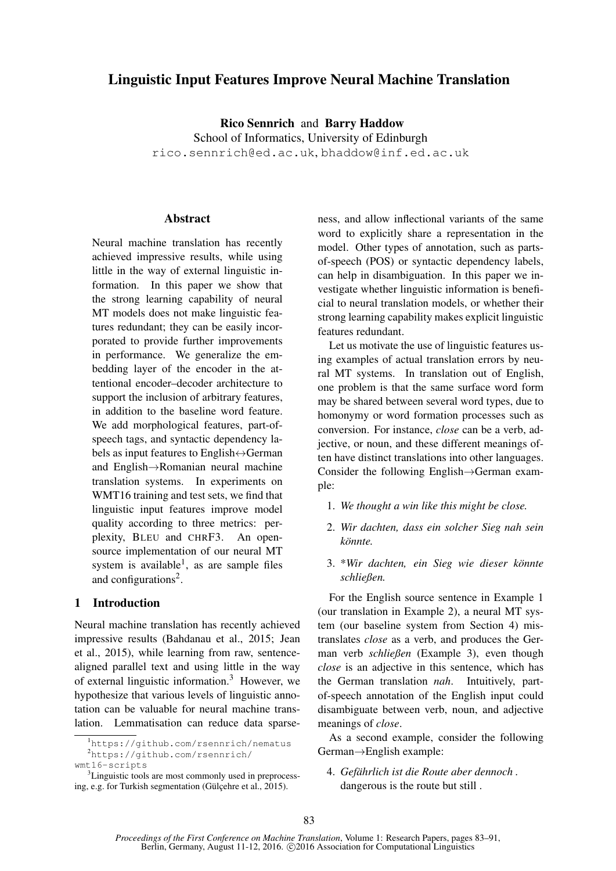# Linguistic Input Features Improve Neural Machine Translation

Rico Sennrich and Barry Haddow School of Informatics, University of Edinburgh rico.sennrich@ed.ac.uk, bhaddow@inf.ed.ac.uk

# **Abstract**

Neural machine translation has recently achieved impressive results, while using little in the way of external linguistic information. In this paper we show that the strong learning capability of neural MT models does not make linguistic features redundant; they can be easily incorporated to provide further improvements in performance. We generalize the embedding layer of the encoder in the attentional encoder–decoder architecture to support the inclusion of arbitrary features, in addition to the baseline word feature. We add morphological features, part-ofspeech tags, and syntactic dependency labels as input features to English ↔ German and English→Romanian neural machine translation systems. In experiments on WMT16 training and test sets, we find that linguistic input features improve model quality according to three metrics: perplexity, BLEU and CHRF3. An opensource implementation of our neural MT system is available<sup>1</sup>, as are sample files and configurations<sup>2</sup>.

### 1 Introduction

Neural machine translation has recently achieved impressive results (Bahdanau et al., 2015; Jean et al., 2015), while learning from raw, sentencealigned parallel text and using little in the way of external linguistic information.<sup>3</sup> However, we hypothesize that various levels of linguistic annotation can be valuable for neural machine translation. Lemmatisation can reduce data sparse-

ness, and allow inflectional variants of the same word to explicitly share a representation in the model. Other types of annotation, such as partsof-speech (POS) or syntactic dependency labels, can help in disambiguation. In this paper we investigate whether linguistic information is beneficial to neural translation models, or whether their strong learning capability makes explicit linguistic features redundant.

Let us motivate the use of linguistic features using examples of actual translation errors by neural MT systems. In translation out of English, one problem is that the same surface word form may be shared between several word types, due to homonymy or word formation processes such as conversion. For instance, *close* can be a verb, adjective, or noun, and these different meanings often have distinct translations into other languages. Consider the following English→German example:

- 1. *We thought a win like this might be close.*
- 2. *Wir dachten, dass ein solcher Sieg nah sein könnte.*
- 3. \**Wir dachten, ein Sieg wie dieser könnte schließen.*

For the English source sentence in Example 1 (our translation in Example 2), a neural MT system (our baseline system from Section 4) mistranslates *close* as a verb, and produces the German verb *schließen* (Example 3), even though *close* is an adjective in this sentence, which has the German translation *nah*. Intuitively, partof-speech annotation of the English input could disambiguate between verb, noun, and adjective meanings of *close*.

As a second example, consider the following German→English example:

4. *Gefährlich ist die Route aber dennoch .* dangerous is the route but still .

<sup>1</sup>https://github.com/rsennrich/nematus <sup>2</sup>https://github.com/rsennrich/ wmt16-scripts

<sup>&</sup>lt;sup>3</sup>Linguistic tools are most commonly used in preprocessing, e.g. for Turkish segmentation (Gülçehre et al., 2015).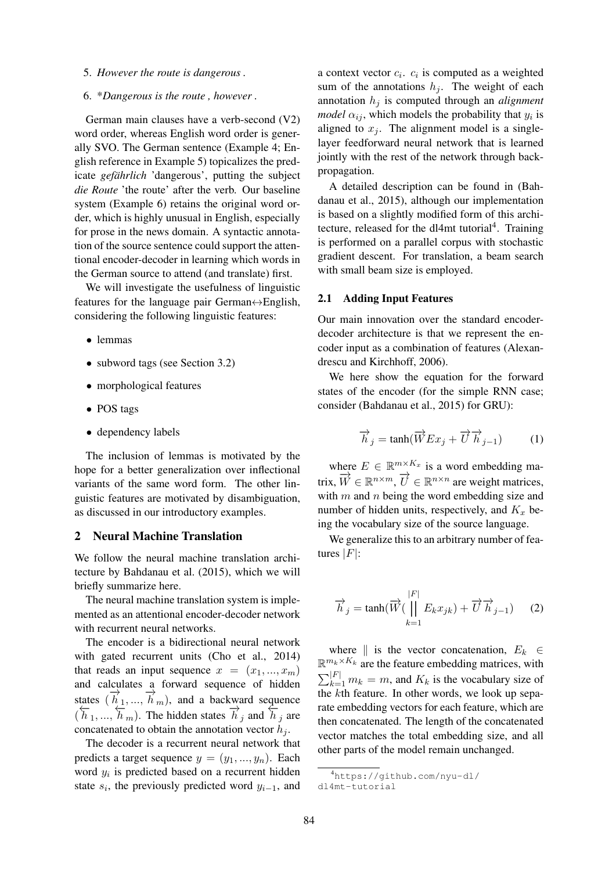5. *However the route is dangerous .*

#### 6. \**Dangerous is the route , however .*

German main clauses have a verb-second (V2) word order, whereas English word order is generally SVO. The German sentence (Example 4; English reference in Example 5) topicalizes the predicate *gefährlich* 'dangerous', putting the subject *die Route* 'the route' after the verb. Our baseline system (Example 6) retains the original word order, which is highly unusual in English, especially for prose in the news domain. A syntactic annotation of the source sentence could support the attentional encoder-decoder in learning which words in the German source to attend (and translate) first.

We will investigate the usefulness of linguistic features for the language pair German↔English, considering the following linguistic features:

- lemmas
- subword tags (see Section 3.2)
- morphological features
- POS tags
- dependency labels

The inclusion of lemmas is motivated by the hope for a better generalization over inflectional variants of the same word form. The other linguistic features are motivated by disambiguation, as discussed in our introductory examples.

# 2 Neural Machine Translation

We follow the neural machine translation architecture by Bahdanau et al. (2015), which we will briefly summarize here.

The neural machine translation system is implemented as an attentional encoder-decoder network with recurrent neural networks.

The encoder is a bidirectional neural network with gated recurrent units (Cho et al., 2014) that reads an input sequence  $x = (x_1, ..., x_m)$ and calculates a forward sequence of hidden states  $(\overrightarrow{h}_1, ..., \overrightarrow{h}_m)$ , and a backward sequence  $(\overleftarrow{h}_1, ..., \overleftarrow{h}_m)$ . The hidden states  $\overrightarrow{h}_j$  and  $\overleftarrow{h}_j$  are concatenated to obtain the annotation vector  $h_i$ .

The decoder is a recurrent neural network that predicts a target sequence  $y = (y_1, ..., y_n)$ . Each word  $y_i$  is predicted based on a recurrent hidden state  $s_i$ , the previously predicted word  $y_{i-1}$ , and

a context vector  $c_i$ .  $c_i$  is computed as a weighted sum of the annotations  $h_j$ . The weight of each annotation  $h_j$  is computed through an *alignment model*  $\alpha_{ij}$ , which models the probability that  $y_i$  is aligned to  $x_j$ . The alignment model is a singlelayer feedforward neural network that is learned jointly with the rest of the network through backpropagation.

A detailed description can be found in (Bahdanau et al., 2015), although our implementation is based on a slightly modified form of this architecture, released for the dl4mt tutorial<sup>4</sup>. Training is performed on a parallel corpus with stochastic gradient descent. For translation, a beam search with small beam size is employed.

#### 2.1 Adding Input Features

Our main innovation over the standard encoderdecoder architecture is that we represent the encoder input as a combination of features (Alexandrescu and Kirchhoff, 2006).

We here show the equation for the forward states of the encoder (for the simple RNN case; consider (Bahdanau et al., 2015) for GRU):

$$
\overrightarrow{h}_j = \tanh(\overrightarrow{W}Ex_j + \overrightarrow{U}\overrightarrow{h}_{j-1})
$$
 (1)

where  $E \in \mathbb{R}^{m \times K_x}$  is a word embedding matrix,  $\overrightarrow{W} \in \mathbb{R}^{n \times m}$ ,  $\overrightarrow{U} \in \mathbb{R}^{n \times n}$  are weight matrices, with  $m$  and  $n$  being the word embedding size and number of hidden units, respectively, and  $K_x$  being the vocabulary size of the source language.

We generalize this to an arbitrary number of features  $|F|$ :

$$
\overrightarrow{h}_j = \tanh(\overrightarrow{W}(\prod_{k=1}^{|F|} E_k x_{jk}) + \overrightarrow{U} \overrightarrow{h}_{j-1}) \qquad (2)
$$

where  $\parallel$  is the vector concatenation,  $E_k \in$  $\mathbb{R}^{m_k \times K_k}$  are the feature embedding matrices, with  $\sum_{k=1}^{|F|} m_k = m$ , and  $K_k$  is the vocabulary size of the kth feature. In other words, we look up separate embedding vectors for each feature, which are then concatenated. The length of the concatenated vector matches the total embedding size, and all other parts of the model remain unchanged.

<sup>4</sup>https://github.com/nyu-dl/ dl4mt-tutorial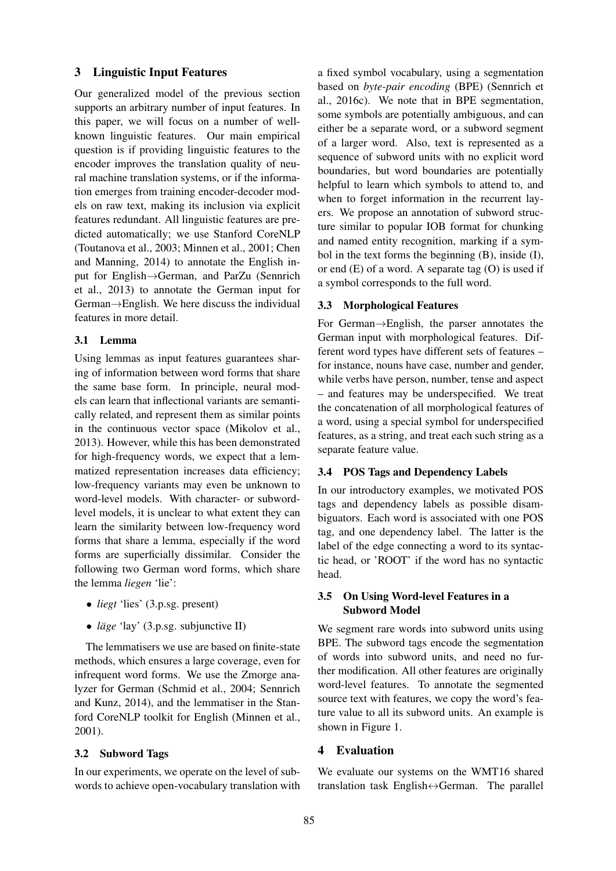# 3 Linguistic Input Features

Our generalized model of the previous section supports an arbitrary number of input features. In this paper, we will focus on a number of wellknown linguistic features. Our main empirical question is if providing linguistic features to the encoder improves the translation quality of neural machine translation systems, or if the information emerges from training encoder-decoder models on raw text, making its inclusion via explicit features redundant. All linguistic features are predicted automatically; we use Stanford CoreNLP (Toutanova et al., 2003; Minnen et al., 2001; Chen and Manning, 2014) to annotate the English input for English→German, and ParZu (Sennrich et al., 2013) to annotate the German input for German→English. We here discuss the individual features in more detail.

## 3.1 Lemma

Using lemmas as input features guarantees sharing of information between word forms that share the same base form. In principle, neural models can learn that inflectional variants are semantically related, and represent them as similar points in the continuous vector space (Mikolov et al., 2013). However, while this has been demonstrated for high-frequency words, we expect that a lemmatized representation increases data efficiency; low-frequency variants may even be unknown to word-level models. With character- or subwordlevel models, it is unclear to what extent they can learn the similarity between low-frequency word forms that share a lemma, especially if the word forms are superficially dissimilar. Consider the following two German word forms, which share the lemma *liegen* 'lie':

- *liegt* 'lies' (3.p.sg. present)
- *läge* 'lay' (3.p.sg. subjunctive II)

The lemmatisers we use are based on finite-state methods, which ensures a large coverage, even for infrequent word forms. We use the Zmorge analyzer for German (Schmid et al., 2004; Sennrich and Kunz, 2014), and the lemmatiser in the Stanford CoreNLP toolkit for English (Minnen et al., 2001).

#### 3.2 Subword Tags

In our experiments, we operate on the level of subwords to achieve open-vocabulary translation with a fixed symbol vocabulary, using a segmentation based on *byte-pair encoding* (BPE) (Sennrich et al., 2016c). We note that in BPE segmentation, some symbols are potentially ambiguous, and can either be a separate word, or a subword segment of a larger word. Also, text is represented as a sequence of subword units with no explicit word boundaries, but word boundaries are potentially helpful to learn which symbols to attend to, and when to forget information in the recurrent layers. We propose an annotation of subword structure similar to popular IOB format for chunking and named entity recognition, marking if a symbol in the text forms the beginning (B), inside (I), or end  $(E)$  of a word. A separate tag  $(O)$  is used if a symbol corresponds to the full word.

#### 3.3 Morphological Features

For German→English, the parser annotates the German input with morphological features. Different word types have different sets of features – for instance, nouns have case, number and gender, while verbs have person, number, tense and aspect – and features may be underspecified. We treat the concatenation of all morphological features of a word, using a special symbol for underspecified features, as a string, and treat each such string as a separate feature value.

# 3.4 POS Tags and Dependency Labels

In our introductory examples, we motivated POS tags and dependency labels as possible disambiguators. Each word is associated with one POS tag, and one dependency label. The latter is the label of the edge connecting a word to its syntactic head, or 'ROOT' if the word has no syntactic head.

# 3.5 On Using Word-level Features in a Subword Model

We segment rare words into subword units using BPE. The subword tags encode the segmentation of words into subword units, and need no further modification. All other features are originally word-level features. To annotate the segmented source text with features, we copy the word's feature value to all its subword units. An example is shown in Figure 1.

#### 4 Evaluation

We evaluate our systems on the WMT16 shared translation task English↔German. The parallel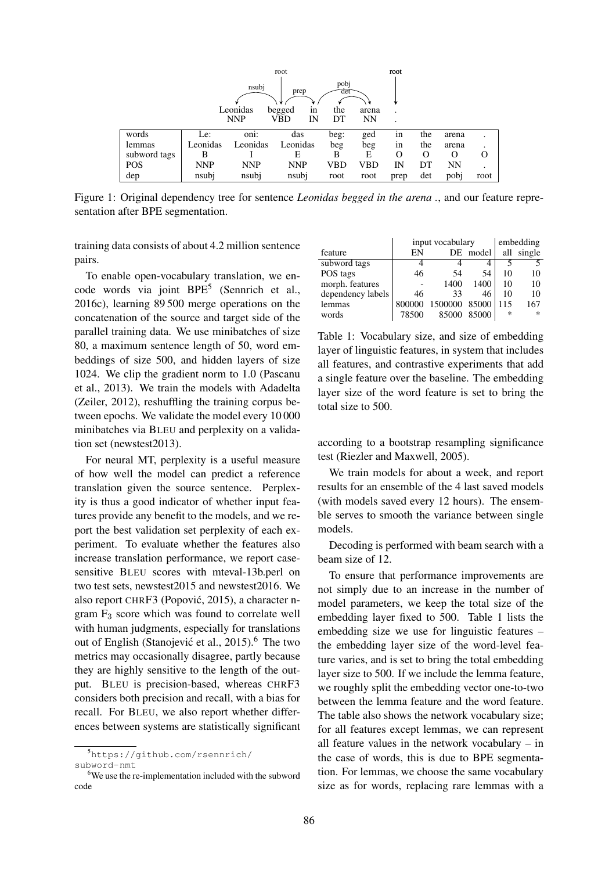|              |            |            |              | root        |       |      |     |           |      |
|--------------|------------|------------|--------------|-------------|-------|------|-----|-----------|------|
|              |            | nsubj      | prep         | pobj<br>det |       |      |     |           |      |
|              |            | Leonidas   | begged<br>1n | the         | arena | ٠    |     |           |      |
|              |            | <b>NNP</b> | VBD<br>IN    | DТ          | NΝ    | ٠    |     |           |      |
| words        | Le:        | ٠<br>oni:  | das          | beg:        | ged   | in   | the | arena     |      |
| lemmas       | Leonidas   | Leonidas   | Leonidas     | beg         | beg   | 1n   | the | arena     |      |
| subword tags | В          |            | Е            | В           | E     | O    | O   | O         |      |
| POS          | <b>NNP</b> | <b>NNP</b> | <b>NNP</b>   | VBD         | VBD   | IN   | DT  | <b>NN</b> |      |
| dep          | nsubj      | nsubj      | nsubj        | root        | root  | prep | det | pobj      | root |

Figure 1: Original dependency tree for sentence *Leonidas begged in the arena .*, and our feature representation after BPE segmentation.

training data consists of about 4.2 million sentence pairs.

To enable open-vocabulary translation, we encode words via joint BPE<sup>5</sup> (Sennrich et al., 2016c), learning 89 500 merge operations on the concatenation of the source and target side of the parallel training data. We use minibatches of size 80, a maximum sentence length of 50, word embeddings of size 500, and hidden layers of size 1024. We clip the gradient norm to 1.0 (Pascanu et al., 2013). We train the models with Adadelta (Zeiler, 2012), reshuffling the training corpus between epochs. We validate the model every 10 000 minibatches via BLEU and perplexity on a validation set (newstest2013).

For neural MT, perplexity is a useful measure of how well the model can predict a reference translation given the source sentence. Perplexity is thus a good indicator of whether input features provide any benefit to the models, and we report the best validation set perplexity of each experiment. To evaluate whether the features also increase translation performance, we report casesensitive BLEU scores with mteval-13b.perl on two test sets, newstest2015 and newstest2016. We also report CHRF3 (Popovic, 2015), a character n- ´ gram F<sup>3</sup> score which was found to correlate well with human judgments, especially for translations out of English (Stanojević et al., 2015).<sup>6</sup> The two metrics may occasionally disagree, partly because they are highly sensitive to the length of the output. BLEU is precision-based, whereas CHRF3 considers both precision and recall, with a bias for recall. For BLEU, we also report whether differences between systems are statistically significant

|                   | input vocabulary | embedding |       |     |            |
|-------------------|------------------|-----------|-------|-----|------------|
| feature           | EN               | DE        | model |     | all single |
| subword tags      |                  |           |       |     |            |
| POS tags          | 46               | 54        | 54    | 10  | 10         |
| morph. features   |                  | 1400      | 1400  | 10  | 10         |
| dependency labels | 46               | 33        | 46    | 10  | 10         |
| lemmas            | 800000           | 1500000   | 85000 | 115 | 167        |
| words             | 78500            | 85000     | 85000 | ∗   | $\ast$     |

Table 1: Vocabulary size, and size of embedding layer of linguistic features, in system that includes all features, and contrastive experiments that add a single feature over the baseline. The embedding layer size of the word feature is set to bring the total size to 500.

according to a bootstrap resampling significance test (Riezler and Maxwell, 2005).

We train models for about a week, and report results for an ensemble of the 4 last saved models (with models saved every 12 hours). The ensemble serves to smooth the variance between single models.

Decoding is performed with beam search with a beam size of 12.

To ensure that performance improvements are not simply due to an increase in the number of model parameters, we keep the total size of the embedding layer fixed to 500. Table 1 lists the embedding size we use for linguistic features – the embedding layer size of the word-level feature varies, and is set to bring the total embedding layer size to 500. If we include the lemma feature, we roughly split the embedding vector one-to-two between the lemma feature and the word feature. The table also shows the network vocabulary size; for all features except lemmas, we can represent all feature values in the network vocabulary – in the case of words, this is due to BPE segmentation. For lemmas, we choose the same vocabulary size as for words, replacing rare lemmas with a

<sup>5</sup>https://github.com/rsennrich/ subword-nmt

<sup>6</sup>We use the re-implementation included with the subword code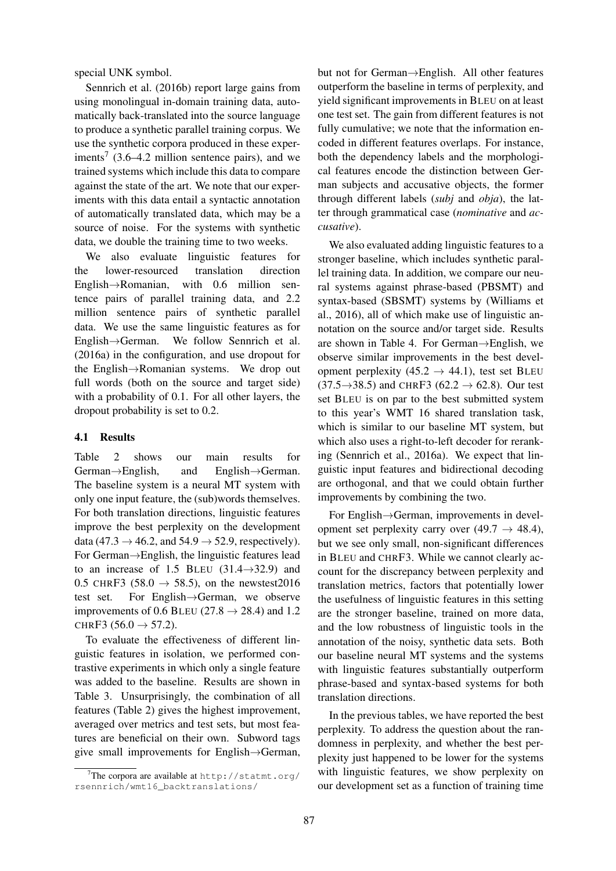special UNK symbol.

Sennrich et al. (2016b) report large gains from using monolingual in-domain training data, automatically back-translated into the source language to produce a synthetic parallel training corpus. We use the synthetic corpora produced in these experiments<sup>7</sup> (3.6–4.2 million sentence pairs), and we trained systems which include this data to compare against the state of the art. We note that our experiments with this data entail a syntactic annotation of automatically translated data, which may be a source of noise. For the systems with synthetic data, we double the training time to two weeks.

We also evaluate linguistic features for the lower-resourced translation direction English→Romanian, with 0.6 million sentence pairs of parallel training data, and 2.2 million sentence pairs of synthetic parallel data. We use the same linguistic features as for English→German. We follow Sennrich et al. (2016a) in the configuration, and use dropout for the English→Romanian systems. We drop out full words (both on the source and target side) with a probability of 0.1. For all other layers, the dropout probability is set to 0.2.

# 4.1 Results

Table 2 shows our main results for German→English, and English→German. The baseline system is a neural MT system with only one input feature, the (sub)words themselves. For both translation directions, linguistic features improve the best perplexity on the development data (47.3  $\rightarrow$  46.2, and 54.9  $\rightarrow$  52.9, respectively). For German→English, the linguistic features lead to an increase of 1.5 BLEU  $(31.4 \rightarrow 32.9)$  and 0.5 CHRF3 (58.0  $\rightarrow$  58.5), on the newstest2016 test set. For English $\rightarrow$ German, we observe For English $\rightarrow$ German, we observe improvements of 0.6 BLEU (27.8  $\rightarrow$  28.4) and 1.2 CHRF3  $(56.0 \rightarrow 57.2)$ .

To evaluate the effectiveness of different linguistic features in isolation, we performed contrastive experiments in which only a single feature was added to the baseline. Results are shown in Table 3. Unsurprisingly, the combination of all features (Table 2) gives the highest improvement, averaged over metrics and test sets, but most features are beneficial on their own. Subword tags give small improvements for English→German,

but not for German→English. All other features outperform the baseline in terms of perplexity, and yield significant improvements in BLEU on at least one test set. The gain from different features is not fully cumulative; we note that the information encoded in different features overlaps. For instance, both the dependency labels and the morphological features encode the distinction between German subjects and accusative objects, the former through different labels (*subj* and *obja*), the latter through grammatical case (*nominative* and *accusative*).

We also evaluated adding linguistic features to a stronger baseline, which includes synthetic parallel training data. In addition, we compare our neural systems against phrase-based (PBSMT) and syntax-based (SBSMT) systems by (Williams et al., 2016), all of which make use of linguistic annotation on the source and/or target side. Results are shown in Table 4. For German→English, we observe similar improvements in the best development perplexity (45.2  $\rightarrow$  44.1), test set BLEU  $(37.5 \rightarrow 38.5)$  and CHRF3  $(62.2 \rightarrow 62.8)$ . Our test set BLEU is on par to the best submitted system to this year's WMT 16 shared translation task, which is similar to our baseline MT system, but which also uses a right-to-left decoder for reranking (Sennrich et al., 2016a). We expect that linguistic input features and bidirectional decoding are orthogonal, and that we could obtain further improvements by combining the two.

For English→German, improvements in development set perplexity carry over  $(49.7 \rightarrow 48.4)$ , but we see only small, non-significant differences in BLEU and CHRF3. While we cannot clearly account for the discrepancy between perplexity and translation metrics, factors that potentially lower the usefulness of linguistic features in this setting are the stronger baseline, trained on more data, and the low robustness of linguistic tools in the annotation of the noisy, synthetic data sets. Both our baseline neural MT systems and the systems with linguistic features substantially outperform phrase-based and syntax-based systems for both translation directions.

In the previous tables, we have reported the best perplexity. To address the question about the randomness in perplexity, and whether the best perplexity just happened to be lower for the systems with linguistic features, we show perplexity on our development set as a function of training time

<sup>&</sup>lt;sup>7</sup>The corpora are available at  $http://stant.org/$ rsennrich/wmt16\_backtranslations/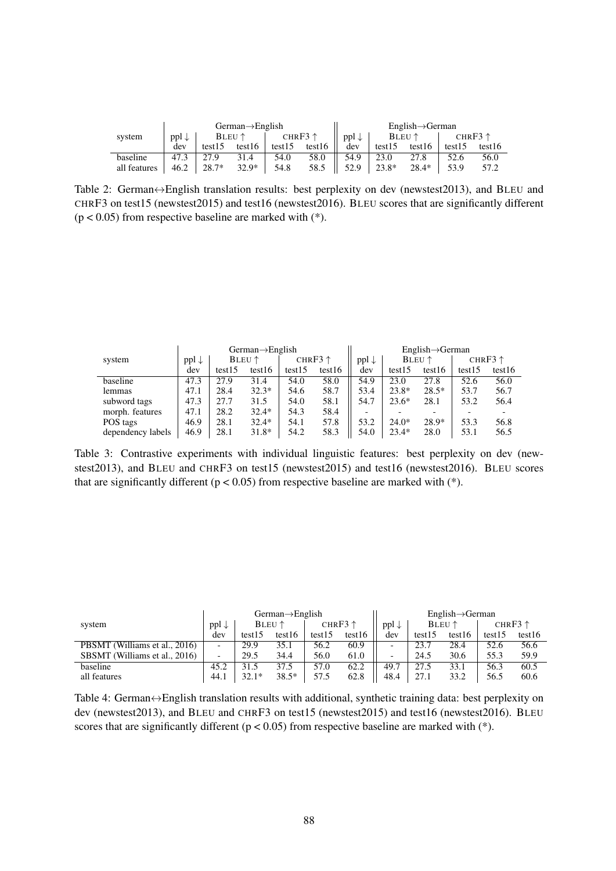|              | $German \rightarrow English$ |         |                 |        |                   |                  |         | $English \rightarrow German$ |        |                   |
|--------------|------------------------------|---------|-----------------|--------|-------------------|------------------|---------|------------------------------|--------|-------------------|
| system       | $ppl \downarrow$             |         | $BLEU \uparrow$ |        | CHR $F3 \uparrow$ | $ppl \downarrow$ |         | BLEU↑                        |        | CHR $F3 \uparrow$ |
|              | dev                          | test15  | test16          | test15 | test16            | dev              | test15  | test16                       | test15 | test16            |
| baseline     | 47.3                         | 27.9    | 31.4            | 54.0   | 58.0              | 54.9             | 23.0    | 27.8                         | 52.6   | 56.0              |
| all features | 46.2                         | $28.7*$ | $32.9*$         | 54.8   | 58.5              | 52.9             | $23.8*$ | 28.4*                        | 53.9   | 57.2              |

Table 2: German↔English translation results: best perplexity on dev (newstest2013), and BLEU and CHRF3 on test15 (newstest2015) and test16 (newstest2016). BLEU scores that are significantly different  $(p < 0.05)$  from respective baseline are marked with  $(*)$ .

|                   |                  |        | $German \rightarrow English$ |        |                   |                  |         | $English \rightarrow German$ |        |                  |
|-------------------|------------------|--------|------------------------------|--------|-------------------|------------------|---------|------------------------------|--------|------------------|
| system            | $ppl \downarrow$ |        | <b>BLEU</b> $\uparrow$       |        | CHR $F3 \uparrow$ | $ppl \downarrow$ |         | BLEU $\uparrow$              |        | CHRF3 $\uparrow$ |
|                   | dev              | test15 | test16                       | test15 | test16            | dev              | test15  | test16                       | test15 | test16           |
| baseline          | 47.3             | 27.9   | 31.4                         | 54.0   | 58.0              | 54.9             | 23.0    | 27.8                         | 52.6   | 56.0             |
| lemmas            | 47.1             | 28.4   | $32.3*$                      | 54.6   | 58.7              | 53.4             | $23.8*$ | $28.5*$                      | 53.7   | 56.7             |
| subword tags      | 47.3             | 27.7   | 31.5                         | 54.0   | 58.1              | 54.7             | $23.6*$ | 28.1                         | 53.2   | 56.4             |
| morph. features   | 47.1             | 28.2   | $32.4*$                      | 54.3   | 58.4              | -                |         |                              |        |                  |
| POS tags          | 46.9             | 28.1   | $32.4*$                      | 54.1   | 57.8              | 53.2             | $24.0*$ | $28.9*$                      | 53.3   | 56.8             |
| dependency labels | 46.9             | 28.1   | $31.8*$                      | 54.2   | 58.3              | 54.0             | $23.4*$ | 28.0                         | 53.1   | 56.5             |

Table 3: Contrastive experiments with individual linguistic features: best perplexity on dev (newstest2013), and BLEU and CHRF3 on test15 (newstest2015) and test16 (newstest2016). BLEU scores that are significantly different ( $p < 0.05$ ) from respective baseline are marked with (\*).

|                               |                          |        | $German \rightarrow English$ |        |                   |                          |        | $English \rightarrow German$ |        |                   |
|-------------------------------|--------------------------|--------|------------------------------|--------|-------------------|--------------------------|--------|------------------------------|--------|-------------------|
| system                        | $\cdot$ ppl $\downarrow$ |        | BLEU $\uparrow$              |        | CHR $F3 \uparrow$ | $ppl \downarrow$         |        | <b>BLEU</b> $\uparrow$       |        | CHR $F3 \uparrow$ |
|                               | dev                      | test15 | test16                       | test15 | test16            | dev                      | test15 | test16                       | test15 | test16            |
| PBSMT (Williams et al., 2016) | $\overline{\phantom{0}}$ | 29.9   | 35.1                         | 56.2   | 60.9              | $\overline{\phantom{0}}$ | 23.7   | 28.4                         | 52.6   | 56.6              |
| SBSMT (Williams et al., 2016) | $\overline{\phantom{0}}$ | 29.5   | 34.4                         | 56.0   | 61.0              | $\overline{\phantom{0}}$ | 24.5   | 30.6                         | 55.3   | 59.9              |
| baseline                      | 45.2                     | 31.5   | 37.5                         | 57.0   | 62.2              | 49.7                     | 27.5   | 33.1                         | 56.3   | 60.5              |
| all features                  | 44.1                     | 32.1*  | $38.5*$                      | 57.5   | 62.8              | 48.4                     | 27.1   | 33.2                         | 56.5   | 60.6              |

Table 4: German↔English translation results with additional, synthetic training data: best perplexity on dev (newstest2013), and BLEU and CHRF3 on test15 (newstest2015) and test16 (newstest2016). BLEU scores that are significantly different ( $p < 0.05$ ) from respective baseline are marked with (\*).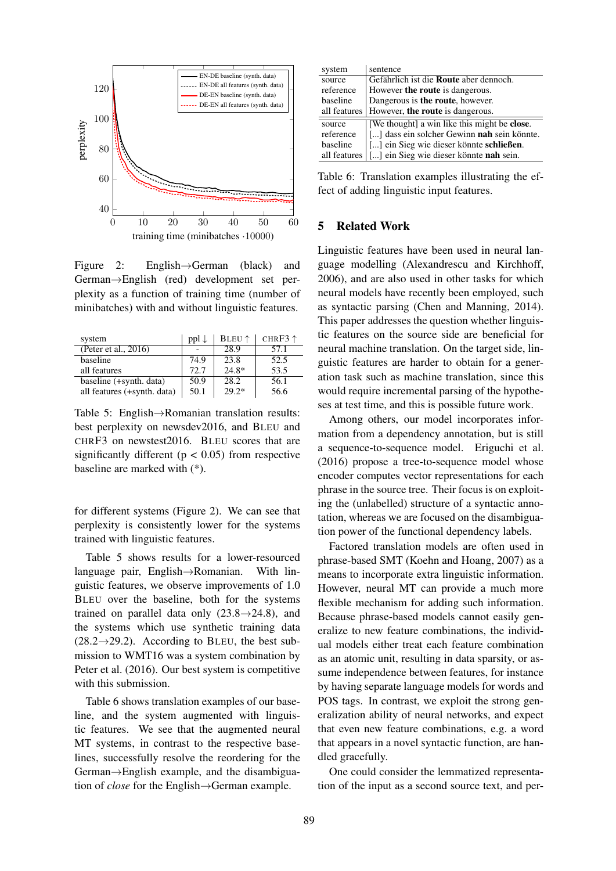

Figure 2: English→German (black) and German→English (red) development set perplexity as a function of training time (number of minibatches) with and without linguistic features.

| system                      | $ppl \downarrow$ | BLEU <sup>↑</sup> | CHR $F3 \uparrow$ |
|-----------------------------|------------------|-------------------|-------------------|
| (Peter et al., 2016)        |                  | 28.9              | 57.1              |
| baseline                    | 74.9             | 23.8              | 52.5              |
| all features                | 72.7             | $24.8*$           | 53.5              |
| baseline (+synth. data)     | 50.9             | 28.2              | 56.1              |
| all features (+synth. data) | 50.1             | $29.2*$           | 56.6              |

Table 5: English→Romanian translation results: best perplexity on newsdev2016, and BLEU and CHRF3 on newstest2016. BLEU scores that are significantly different ( $p < 0.05$ ) from respective baseline are marked with (\*).

for different systems (Figure 2). We can see that perplexity is consistently lower for the systems trained with linguistic features.

Table 5 shows results for a lower-resourced language pair, English→Romanian. With linguistic features, we observe improvements of 1.0 BLEU over the baseline, both for the systems trained on parallel data only  $(23.8 \rightarrow 24.8)$ , and the systems which use synthetic training data  $(28.2 \rightarrow 29.2)$ . According to BLEU, the best submission to WMT16 was a system combination by Peter et al. (2016). Our best system is competitive with this submission.

Table 6 shows translation examples of our baseline, and the system augmented with linguistic features. We see that the augmented neural MT systems, in contrast to the respective baselines, successfully resolve the reordering for the German→English example, and the disambiguation of *close* for the English→German example.

| system       | sentence                                     |
|--------------|----------------------------------------------|
| source       | Gefährlich ist die Route aber dennoch.       |
| reference    | However the route is dangerous.              |
| baseline     | Dangerous is the route, however.             |
| all features | However, the route is dangerous.             |
| source       | [We thought] a win like this might be close. |
| reference    | [] dass ein solcher Gewinn nah sein könnte.  |
| baseline     | [] ein Sieg wie dieser könnte schließen.     |
| all features | [] ein Sieg wie dieser könnte nah sein.      |

Table 6: Translation examples illustrating the effect of adding linguistic input features.

# 5 Related Work

Linguistic features have been used in neural language modelling (Alexandrescu and Kirchhoff, 2006), and are also used in other tasks for which neural models have recently been employed, such as syntactic parsing (Chen and Manning, 2014). This paper addresses the question whether linguistic features on the source side are beneficial for neural machine translation. On the target side, linguistic features are harder to obtain for a generation task such as machine translation, since this would require incremental parsing of the hypotheses at test time, and this is possible future work.

Among others, our model incorporates information from a dependency annotation, but is still a sequence-to-sequence model. Eriguchi et al. (2016) propose a tree-to-sequence model whose encoder computes vector representations for each phrase in the source tree. Their focus is on exploiting the (unlabelled) structure of a syntactic annotation, whereas we are focused on the disambiguation power of the functional dependency labels.

Factored translation models are often used in phrase-based SMT (Koehn and Hoang, 2007) as a means to incorporate extra linguistic information. However, neural MT can provide a much more flexible mechanism for adding such information. Because phrase-based models cannot easily generalize to new feature combinations, the individual models either treat each feature combination as an atomic unit, resulting in data sparsity, or assume independence between features, for instance by having separate language models for words and POS tags. In contrast, we exploit the strong generalization ability of neural networks, and expect that even new feature combinations, e.g. a word that appears in a novel syntactic function, are handled gracefully.

One could consider the lemmatized representation of the input as a second source text, and per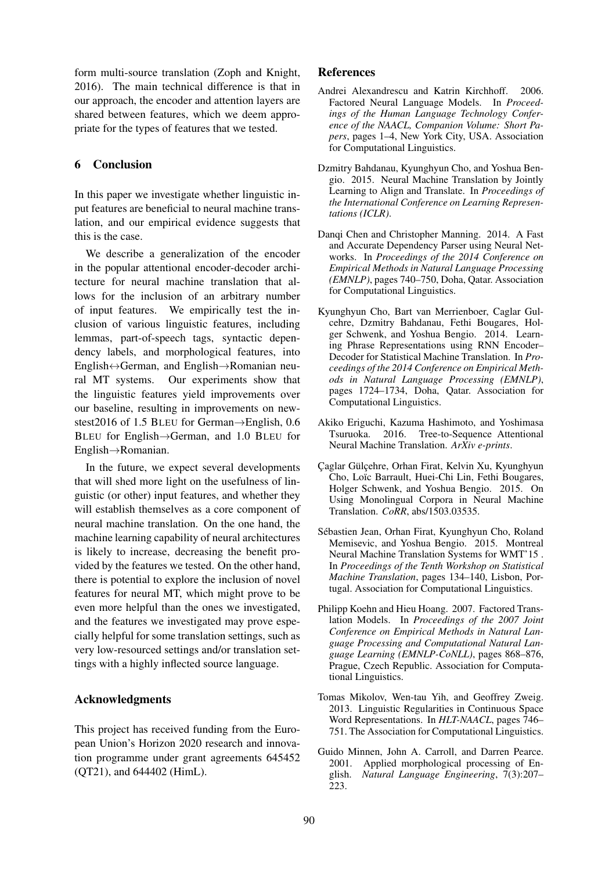form multi-source translation (Zoph and Knight, 2016). The main technical difference is that in our approach, the encoder and attention layers are shared between features, which we deem appropriate for the types of features that we tested.

# 6 Conclusion

In this paper we investigate whether linguistic input features are beneficial to neural machine translation, and our empirical evidence suggests that this is the case.

We describe a generalization of the encoder in the popular attentional encoder-decoder architecture for neural machine translation that allows for the inclusion of an arbitrary number of input features. We empirically test the inclusion of various linguistic features, including lemmas, part-of-speech tags, syntactic dependency labels, and morphological features, into English↔German, and English→Romanian neural MT systems. Our experiments show that the linguistic features yield improvements over our baseline, resulting in improvements on newstest2016 of 1.5 BLEU for German→English, 0.6 BLEU for English→German, and 1.0 BLEU for English→Romanian.

In the future, we expect several developments that will shed more light on the usefulness of linguistic (or other) input features, and whether they will establish themselves as a core component of neural machine translation. On the one hand, the machine learning capability of neural architectures is likely to increase, decreasing the benefit provided by the features we tested. On the other hand, there is potential to explore the inclusion of novel features for neural MT, which might prove to be even more helpful than the ones we investigated, and the features we investigated may prove especially helpful for some translation settings, such as very low-resourced settings and/or translation settings with a highly inflected source language.

### Acknowledgments

This project has received funding from the European Union's Horizon 2020 research and innovation programme under grant agreements 645452 (QT21), and 644402 (HimL).

### References

- Andrei Alexandrescu and Katrin Kirchhoff. 2006. Factored Neural Language Models. In *Proceedings of the Human Language Technology Conference of the NAACL, Companion Volume: Short Papers*, pages 1–4, New York City, USA. Association for Computational Linguistics.
- Dzmitry Bahdanau, Kyunghyun Cho, and Yoshua Bengio. 2015. Neural Machine Translation by Jointly Learning to Align and Translate. In *Proceedings of the International Conference on Learning Representations (ICLR)*.
- Danqi Chen and Christopher Manning. 2014. A Fast and Accurate Dependency Parser using Neural Networks. In *Proceedings of the 2014 Conference on Empirical Methods in Natural Language Processing (EMNLP)*, pages 740–750, Doha, Qatar. Association for Computational Linguistics.
- Kyunghyun Cho, Bart van Merrienboer, Caglar Gulcehre, Dzmitry Bahdanau, Fethi Bougares, Holger Schwenk, and Yoshua Bengio. 2014. Learning Phrase Representations using RNN Encoder– Decoder for Statistical Machine Translation. In *Proceedings of the 2014 Conference on Empirical Methods in Natural Language Processing (EMNLP)*, pages 1724–1734, Doha, Qatar. Association for Computational Linguistics.
- Akiko Eriguchi, Kazuma Hashimoto, and Yoshimasa Tsuruoka. 2016. Tree-to-Sequence Attentional Neural Machine Translation. *ArXiv e-prints*.
- Çaglar Gülçehre, Orhan Firat, Kelvin Xu, Kyunghyun Cho, Loïc Barrault, Huei-Chi Lin, Fethi Bougares, Holger Schwenk, and Yoshua Bengio. 2015. On Using Monolingual Corpora in Neural Machine Translation. *CoRR*, abs/1503.03535.
- Sébastien Jean, Orhan Firat, Kyunghyun Cho, Roland Memisevic, and Yoshua Bengio. 2015. Montreal Neural Machine Translation Systems for WMT'15 . In *Proceedings of the Tenth Workshop on Statistical Machine Translation*, pages 134–140, Lisbon, Portugal. Association for Computational Linguistics.
- Philipp Koehn and Hieu Hoang. 2007. Factored Translation Models. In *Proceedings of the 2007 Joint Conference on Empirical Methods in Natural Language Processing and Computational Natural Language Learning (EMNLP-CoNLL)*, pages 868–876, Prague, Czech Republic. Association for Computational Linguistics.
- Tomas Mikolov, Wen-tau Yih, and Geoffrey Zweig. 2013. Linguistic Regularities in Continuous Space Word Representations. In *HLT-NAACL*, pages 746– 751. The Association for Computational Linguistics.
- Guido Minnen, John A. Carroll, and Darren Pearce. 2001. Applied morphological processing of English. *Natural Language Engineering*, 7(3):207– 223.